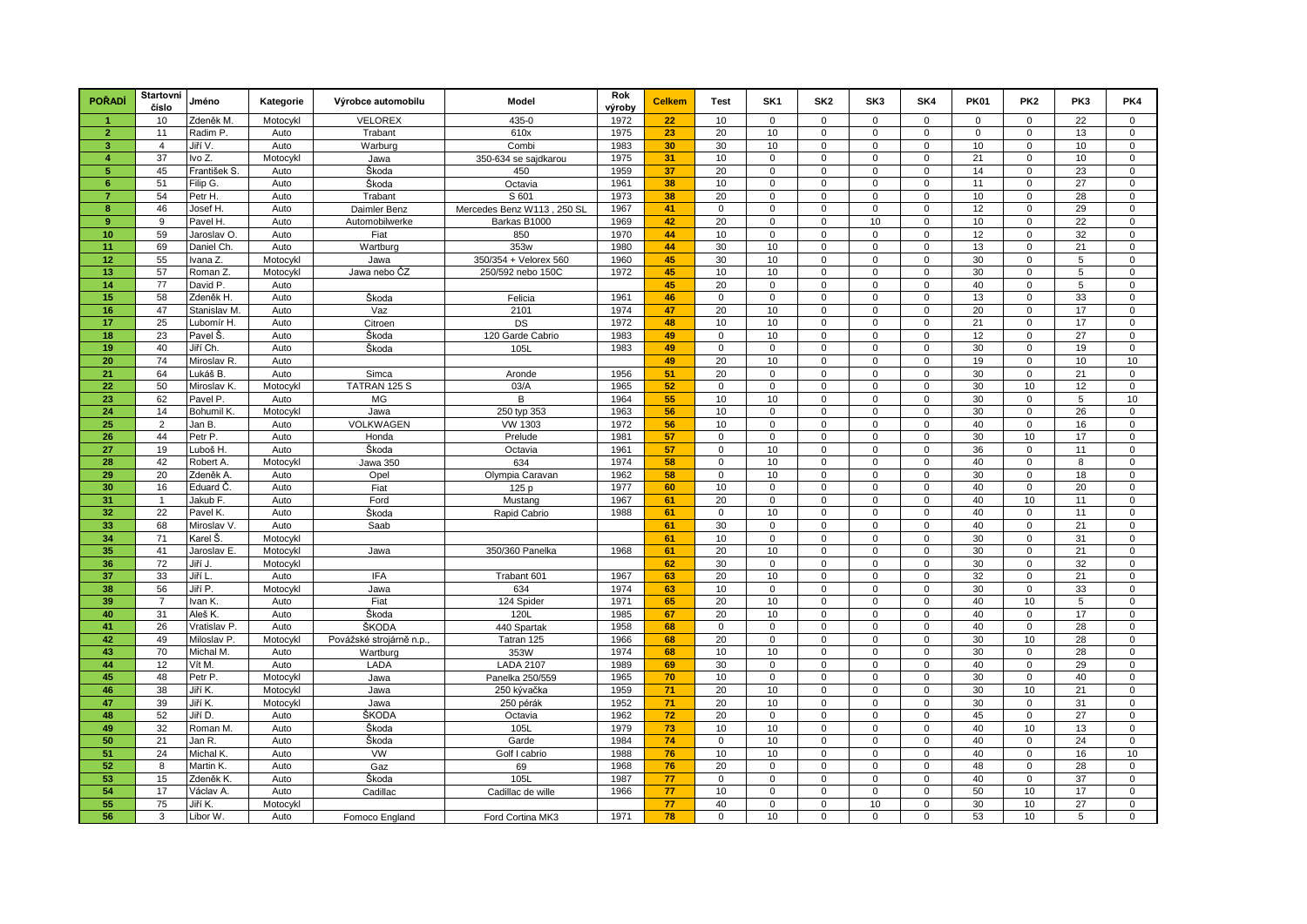| <b>POŘADÍ</b>           | Startovní<br>číslo | Jméno                  | Kategorie | Výrobce automobilu      | Model                      | Rok<br>výroby | <b>Celkem</b> | <b>Test</b>  | SK <sub>1</sub> | SK <sub>2</sub>     | SK3          | SK4            | <b>PK01</b> | PK <sub>2</sub> | PK3 | PK4         |
|-------------------------|--------------------|------------------------|-----------|-------------------------|----------------------------|---------------|---------------|--------------|-----------------|---------------------|--------------|----------------|-------------|-----------------|-----|-------------|
|                         | 10                 | Zdeněk M.              | Motocykl  | <b>VELOREX</b>          | 435-0                      | 1972          | 22            | 10           | $\mathbf 0$     | $\mathbf 0$         | $\mathbf 0$  | $\mathbf{0}$   | $\mathbf 0$ | $\Omega$        | 22  | $\mathbf 0$ |
| $\overline{2}$          | 11                 | Radim P.               | Auto      | Trabant                 | 610x                       | 1975          | 23            | 20           | 10              | 0                   | $\mathbf 0$  | $\mathbf{0}$   | $\mathbf 0$ | $\mathbf 0$     | 13  | $\mathbf 0$ |
| $\overline{\mathbf{3}}$ | $\overline{4}$     | Jiří V.                | Auto      | Warburg                 | Combi                      | 1983          | 30            | 30           | 10              | $\mathbf 0$         | $\mathbf{0}$ | $\mathbf 0$    | 10          | $\Omega$        | 10  | $\mathbf 0$ |
| $\overline{4}$          | 37                 | Ivo Z.                 | Motocykl  | Jawa                    | 350-634 se sajdkarou       | 1975          | 31            | 10           | $\mathbf 0$     | $\mathbf 0$         | $\mathbf 0$  | $\mathbf 0$    | 21          | $\mathbf 0$     | 10  | $\mathsf 0$ |
| $\sqrt{5}$              | 45                 | František S.           | Auto      | Škoda                   | 450                        | 1959          | 37            | 20           | $\mathbf 0$     | $\mathbf 0$         | $\mathsf 0$  | $\mathsf 0$    | 14          | $\Omega$        | 23  | 0           |
| $6\phantom{1}$          | 51                 | Filip G.               | Auto      | Škoda                   | Octavia                    | 1961          | 38            | 10           | $\mathsf 0$     | $\Omega$            | $\mathbf 0$  | $\mathsf 0$    | 11          | $\mathbf 0$     | 27  | $\mathsf 0$ |
| $\overline{7}$          | 54                 | Petr H.                | Auto      | Trabant                 | S 601                      | 1973          | 38            | 20           | $\overline{0}$  | $\mathbf 0$         | $\mathbf 0$  | $\mathbf 0$    | 10          | $\mathbf 0$     | 28  | $\mathsf 0$ |
| 8                       | 46                 | Josef H.               | Auto      | Daimler Benz            | Mercedes Benz W113, 250 SL | 1967          | 41            | 0            | $\mathbf 0$     | $\Omega$            | $\mathbf 0$  | $\mathbf 0$    | 12          | $\mathbf 0$     | 29  | $\mathbf 0$ |
| $\overline{9}$          | 9                  | Pavel H.               | Auto      | Automobilwerke          | Barkas B1000               | 1969          | 42            | 20           | $\mathbf 0$     | $\mathsf 0$         | 10           | $\mathbf 0$    | 10          | $\Omega$        | 22  | $\mathsf 0$ |
| 10                      | 59                 | Jaroslav O.            | Auto      | Fiat                    | 850                        | 1970          | 44            | 10           | $\mathbf 0$     | $\mathsf{O}\xspace$ | $\mathbf 0$  | $\mathsf 0$    | 12          | $\mathbf 0$     | 32  | $\mathbf 0$ |
| 11                      | 69                 | Daniel Ch.             | Auto      | Wartburg                | 353w                       | 1980          | 44            | 30           | 10              | $\mathbf 0$         | $\mathbf 0$  | $\mathbf 0$    | 13          | $\mathbf 0$     | 21  | $\mathbf 0$ |
| 12                      | 55                 | Ivana Z.               | Motocykl  | Jawa                    | 350/354 + Velorex 560      | 1960          | 45            | 30           | 10              | $\mathbf 0$         | $\mathsf 0$  | $\mathsf 0$    | 30          | $\Omega$        | 5   | 0           |
| 13                      | 57                 | Roman Z.               | Motocykl  | Jawa nebo ČZ            | 250/592 nebo 150C          | 1972          | 45            | 10           | 10              | $\Omega$            | $\mathbf 0$  | $\mathbf 0$    | 30          | $\Omega$        | 5   | $\Omega$    |
| 14                      | 77                 | David P.               | Auto      |                         |                            |               | 45            | 20           | $\mathbf 0$     | $\mathbf 0$         | $\mathbf 0$  | $\mathbf 0$    | 40          | $\mathbf 0$     | 5   | $\mathsf 0$ |
| 15                      | 58                 | Zdeněk H.              | Auto      | Škoda                   | Felicia                    | 1961          | 46            | 0            | $\mathbf 0$     | $\mathbf 0$         | $\mathbf 0$  | $\mathsf 0$    | 13          | $\mathbf 0$     | 33  | $\mathbf 0$ |
| 16                      | 47                 | Stanislav M            | Auto      | Vaz                     | 2101                       | 1974          | 47            | 20           | 10              | $\mathsf{O}\xspace$ | $\mathbf 0$  | $\mathbf 0$    | 20          | $\mathbf 0$     | 17  | $\mathbf 0$ |
| 17                      | 25                 | Lubomír H.             | Auto      | Citroen                 | <b>DS</b>                  | 1972          | 48            | 10           | 10              | $\mathbf 0$         | $\mathbf 0$  | $\mathsf 0$    | 21          | $\mathbf 0$     | 17  | $\mathbf 0$ |
| 18                      | 23                 | Pavel Š.               | Auto      | Škoda                   | 120 Garde Cabrio           | 1983          | 49            | 0            | 10              | $\Omega$            | $\mathbf 0$  | $\mathbf 0$    | 12          | $\mathbf 0$     | 27  | $\mathbf 0$ |
| 19                      | 40                 | Jiří Ch.               | Auto      | Škoda                   | 105L                       | 1983          | 49            | 0            | $\mathbf 0$     | $\mathbf 0$         | $\mathbf 0$  | $\mathbf 0$    | 30          | $\Omega$        | 19  | $\mathbf 0$ |
| 20                      | 74                 | Miroslav R.            | Auto      |                         |                            |               | 49            | 20           | 10              | $\Omega$            | $\mathbf 0$  | $\mathsf 0$    | 19          | $\mathbf 0$     | 10  | 10          |
| 21                      | 64                 | Lukáš B.               | Auto      | Simca                   | Aronde                     | 1956          | 51            | 20           | $\mathbf 0$     | $\mathsf{O}\xspace$ | $\mathbf 0$  | $\mathsf 0$    | 30          | $\mathbf 0$     | 21  | $\mathbf 0$ |
| 22                      | 50                 | Miroslav K             | Motocykl  | TATRAN 125 S            | 03/A                       | 1965          | 52            | $\mathbf{0}$ | $\mathbf 0$     | $\mathbf 0$         | $\Omega$     | $\mathbf 0$    | 30          | 10              | 12  | $\mathsf 0$ |
| 23                      | 62                 | Pavel P.               | Auto      | <b>MG</b>               | B                          | 1964          | 55            | 10           | 10              | $\mathbf 0$         | $\mathbf 0$  | $\mathsf 0$    | 30          | $\mathbf 0$     | 5   | 10          |
| 24                      | 14                 | Bohumil K.             | Motocykl  | Jawa                    | 250 typ 353                | 1963          | 56            | 10           | $\mathbf 0$     | $\mathbf 0$         | $\mathbf 0$  | $\mathbf 0$    | 30          | $\Omega$        | 26  | $\mathbf 0$ |
| 25                      | $\overline{2}$     | Jan B.                 | Auto      | VOLKWAGEN               | <b>VW 1303</b>             | 1972          | 56            | 10           | $\mathbf 0$     | $\Omega$            | $\mathbf 0$  | $\mathsf 0$    | 40          | $\mathbf 0$     | 16  | $\mathbf 0$ |
| 26                      | 44                 | Petr P.                | Auto      | Honda                   | Prelude                    | 1981          | 57            | 0            | $\mathbf 0$     | $\mathbf 0$         | $\mathsf 0$  | $\mathsf 0$    | 30          | 10              | 17  | $\mathbf 0$ |
| 27                      | 19                 | Luboš H                | Auto      | Škoda                   | Octavia                    | 1961          | 57            | 0            | 10              | $\mathbf 0$         | $\mathbf 0$  | $\mathsf{O}$   | 36          | $\mathbf 0$     | 11  | $\mathsf 0$ |
| 28                      | 42                 | Robert A               | Motocykl  | Jawa 350                | 634                        | 1974          | 58            | $\mathbf 0$  | 10              | $\mathsf 0$         | $\mathsf 0$  | $\mathbf 0$    | 40          | $\mathbf 0$     | 8   | $\mathsf 0$ |
| 29                      | 20                 | Zdeněk A.              | Auto      | Opel                    | Olympia Caravan            | 1962          | 58            | $\mathbf 0$  | 10              | $\mathbf 0$         | $\Omega$     | $\mathsf 0$    | 30          | $\Omega$        | 18  | $\mathsf 0$ |
| 30                      | 16                 | Eduard Č               | Auto      | Fiat                    | 125 p                      | 1977          | 60            | 10           | $\mathbf 0$     | $\Omega$            | $\mathbf 0$  | $\mathbf 0$    | 40          | $\Omega$        | 20  | $\mathbf 0$ |
| 31                      | $\mathbf{1}$       | Jakub F.               | Auto      | Ford                    | Mustang                    | 1967          | 61            | 20           | $\mathbf 0$     | 0                   | $\mathbf 0$  | $\mathsf 0$    | 40          | 10              | 11  | 0           |
| 32                      | 22                 | Pavel K.               | Auto      | Škoda                   | Rapid Cabrio               | 1988          | 61            | 0            | 10              | $\mathbf 0$         | $\mathbf 0$  | $\mathbf 0$    | 40          | $\mathbf 0$     | 11  | $\mathbf 0$ |
| 33                      | 68                 | Miroslav V.            | Auto      | Saab                    |                            |               | 61            | 30           | $\mathbf 0$     | $\mathbf 0$         | $\mathbf 0$  | $\mathsf 0$    | 40          | $\mathbf 0$     | 21  | $\mathbf 0$ |
| 34                      | 71                 | Karel Š                | Motocykl  |                         |                            |               | 61            | 10           | $\mathsf 0$     | $\Omega$            | $\mathbf 0$  | $\mathsf{O}$   | 30          | $\mathbf 0$     | 31  | $\mathbf 0$ |
| 35                      | 41                 | Jaroslav E.            | Motocykl  | Jawa                    | 350/360 Panelka            | 1968          | 61            | 20           | 10              | $\mathbf 0$         | $\mathbf 0$  | $\overline{0}$ | 30          | $\mathbf 0$     | 21  | $\mathsf 0$ |
| 36                      | 72                 | Jiří J                 | Motocykl  |                         |                            |               | 62            | 30           | $\mathsf 0$     | $\Omega$            | $\Omega$     | $\mathsf{O}$   | 30          | $\Omega$        | 32  | $\mathbf 0$ |
| 37                      | 33                 | Jiří L                 | Auto      | <b>IFA</b>              | Trabant 601                | 1967          | 63            | 20           | $10$            | $\mathsf 0$         | $\mathbf 0$  | $\mathsf 0$    | 32          | $\mathbf 0$     | 21  | $\mathsf 0$ |
| 38                      | 56                 | Jiří P.                | Motocykl  | Jawa                    | 634                        | 1974          | 63            | 10           | $\mathbf 0$     | $\mathbf 0$         | $\mathbf 0$  | $\mathsf 0$    | 30          | $\mathbf 0$     | 33  | $\mathbf 0$ |
| 39                      | $\overline{7}$     | Ivan K                 | Auto      | Fiat                    | 124 Spider                 | 1971          | 65            | 20           | 10              | $\Omega$            | $\mathbf 0$  | $\mathsf 0$    | 40          | 10              | 5   | $\mathbf 0$ |
| 40                      | 31                 | Aleš K.                | Auto      | Škoda                   | <b>120L</b>                | 1985          | 67            | 20           | 10              | $\mathbf 0$         | $\mathbf 0$  | $\mathsf 0$    | 40          | $\Omega$        | 17  | $\mathbf 0$ |
| 41                      | 26                 | Vratislav P            | Auto      | ŠKODA                   | 440 Spartak                | 1958          | 68            | 0            | $\mathbf 0$     | $\Omega$            | $\mathbf 0$  | $\mathbf 0$    | 40          | $\mathbf 0$     | 28  | $\mathbf 0$ |
| 42                      | 49                 | Miloslav <sub>P.</sub> | Motocykl  | Povážské strojárně n.p. | Tatran 125                 | 1966          | 68            | 20           | $\mathbf 0$     | $\mathsf 0$         | $\mathbf 0$  | $\mathsf 0$    | 30          | 10              | 28  | 0           |
| 43                      | 70                 | Michal M.              | Auto      | Wartburg                | 353W                       | 1974          | 68            | 10           | 10              | $\mathbf 0$         | $\mathbf 0$  | $\mathsf 0$    | 30          | $\Omega$        | 28  | $\pmb{0}$   |
| 44                      | 12                 | Vít M.                 | Auto      | LADA                    | <b>LADA 2107</b>           | 1989          | 69            | 30           | $\mathbf 0$     | $\mathbf 0$         | $\mathbf 0$  | $\mathsf 0$    | 40          | $\mathbf 0$     | 29  | $\mathsf 0$ |
| 45                      | 48                 | Petr P.                | Motocykl  | Jawa                    | Panelka 250/559            | 1965          | 70            | 10           | $\mathbf 0$     | $\mathbf 0$         | $\mathbf 0$  | $\mathsf 0$    | 30          | $\mathbf 0$     | 40  | $\mathbf 0$ |
| 46                      | 38                 | Jiří K.                | Motocykl  | Jawa                    | 250 kývačka                | 1959          | 71            | 20           | 10              | $\Omega$            | $\mathbf 0$  | $\mathbf{0}$   | 30          | 10              | 21  | $\mathbf 0$ |
| 47                      | 39                 | Jiří K.                | Motocykl  | Jawa                    | 250 pérák                  | 1952          | 71            | 20           | 10              | $\Omega$            | $\mathbf 0$  | $\mathsf 0$    | 30          | $\Omega$        | 31  | 0           |
| 48                      | 52                 | Jiří D.                | Auto      | ŠKODA                   | Octavia                    | 1962          | 72            | 20           | $\mathsf 0$     | $\mathbf 0$         | $\mathbf 0$  | $\mathsf{O}$   | 45          | $\mathbf 0$     | 27  | $\mathsf 0$ |
| 49                      | 32                 | Roman M.               | Auto      | Škoda                   | 105L                       | 1979          | 73            | 10           | $10$            | $\mathbf 0$         | $\mathbf 0$  | $\mathsf 0$    | 40          | 10              | 13  | 0           |
| 50                      | 21                 | Jan R.                 | Auto      | Škoda                   | Garde                      | 1984          | 74            | $\mathbf 0$  | 10              | $\mathsf{O}\xspace$ | $\mathbf 0$  | $\mathbf 0$    | 40          | $\mathbf 0$     | 24  | $\mathbf 0$ |
| 51                      | 24                 | Michal K.              | Auto      | <b>VW</b>               | Golf I cabrio              | 1988          | 76            | 10           | 10              | $\mathbf 0$         | $\mathbf 0$  | $\mathsf 0$    | 40          | $\mathbf 0$     | 16  | 10          |
| 52                      | 8                  | Martin K.              | Auto      | Gaz                     | 69                         | 1968          | 76            | 20           | $\mathbf 0$     | $\Omega$            | $\mathbf 0$  | $\mathbf 0$    | 48          | $\Omega$        | 28  | $\mathbf 0$ |
| 53                      | 15                 | Zdeněk K               | Auto      | Škoda                   | 105L                       | 1987          | 77            | 0            | $\mathsf 0$     | $\Omega$            | $\mathbf 0$  | $\mathsf{O}$   | 40          | $\mathbf 0$     | 37  | $\mathbf 0$ |
| 54                      | 17                 | Václav A.              | Auto      | Cadillac                | Cadillac de wille          | 1966          | 77            | 10           | $\mathbf 0$     | $\mathsf{O}\xspace$ | $\mathsf 0$  | $\mathbf 0$    | 50          | 10              | 17  | $\mathbf 0$ |
| 55                      | 75                 | Jiří K.                | Motocykl  |                         |                            |               | 77            | 40           | $\overline{0}$  | $\Omega$            | 10           | $\mathbf 0$    | 30          | 10              | 27  | $\mathsf 0$ |
| 56                      | 3                  | Libor W.               | Auto      | Fomoco England          | Ford Cortina MK3           | 1971          | 78            | 0            | 10              | $\Omega$            | $\mathbf 0$  | $\mathbf 0$    | 53          | 10              | 5   | $\mathbf 0$ |